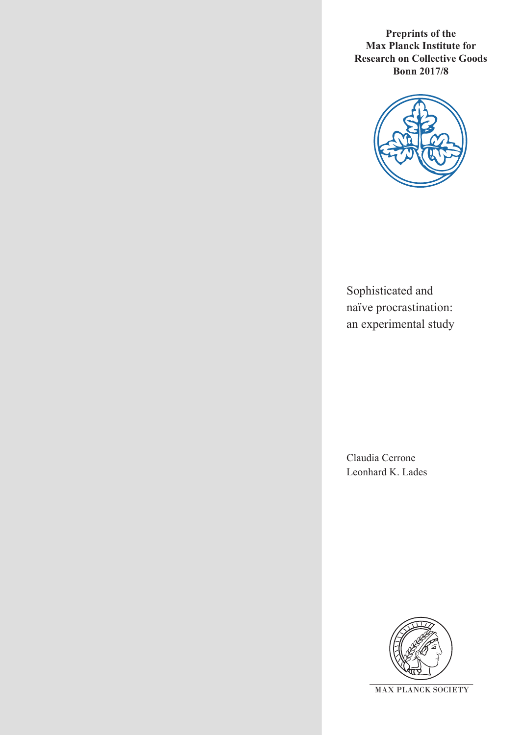**Preprints of the Max Planck Institute for Research on Collective Goods Bonn 2017/8**



Sophisticated and naïve procrastination: an experimental study

Claudia Cerrone Leonhard K. Lades

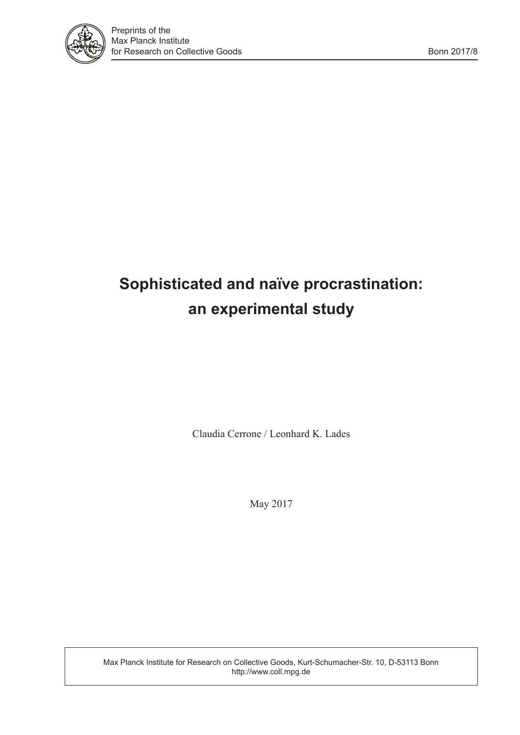

# **Sophisticated and naïve procrastination: an experimental study**

Claudia Cerrone / Leonhard K. Lades

May 2017

Max Planck Institute for Research on Collective Goods, Kurt-Schumacher-Str. 10, D-53113 Bonn http://www.coll.mpg.de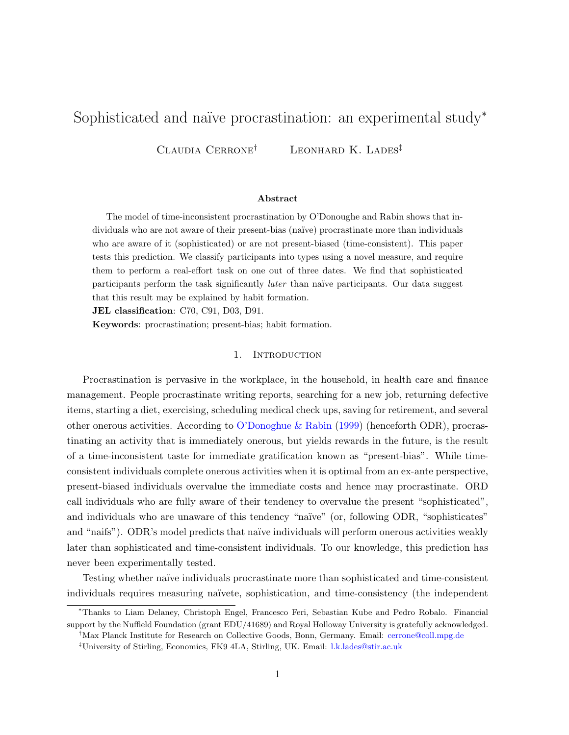# <span id="page-2-0"></span>Sophisticated and naïve procrastination: an experimental study<sup>\*</sup>

CLAUDIA CERRONE<sup>†</sup> LEONHARD K. LADES<sup>‡</sup>

# Abstract

The model of time-inconsistent procrastination by O'Donoughe and Rabin shows that individuals who are not aware of their present-bias (naïve) procrastinate more than individuals who are aware of it (sophisticated) or are not present-biased (time-consistent). This paper tests this prediction. We classify participants into types using a novel measure, and require them to perform a real-effort task on one out of three dates. We find that sophisticated participants perform the task significantly *later* than naïve participants. Our data suggest that this result may be explained by habit formation.

JEL classification: C70, C91, D03, D91.

<span id="page-2-1"></span>Keywords: procrastination; present-bias; habit formation.

#### 1. INTRODUCTION

Procrastination is pervasive in the workplace, in the household, in health care and finance management. People procrastinate writing reports, searching for a new job, returning defective items, starting a diet, exercising, scheduling medical check ups, saving for retirement, and several other onerous activities. According to [O'Donoghue & Rabin](#page-18-0) [\(1999\)](#page-18-0) (henceforth ODR), procrastinating an activity that is immediately onerous, but yields rewards in the future, is the result of a time-inconsistent taste for immediate gratification known as "present-bias". While timeconsistent individuals complete onerous activities when it is optimal from an ex-ante perspective, present-biased individuals overvalue the immediate costs and hence may procrastinate. ORD call individuals who are fully aware of their tendency to overvalue the present "sophisticated", and individuals who are unaware of this tendency "naïve" (or, following ODR, "sophisticates" and "naifs"). ODR's model predicts that naïve individuals will perform onerous activities weakly later than sophisticated and time-consistent individuals. To our knowledge, this prediction has never been experimentally tested.

Testing whether naïve individuals procrastinate more than sophisticated and time-consistent individuals requires measuring naïvete, sophistication, and time-consistency (the independent

<sup>∗</sup>Thanks to Liam Delaney, Christoph Engel, Francesco Feri, Sebastian Kube and Pedro Robalo. Financial support by the Nuffield Foundation (grant EDU/41689) and Royal Holloway University is gratefully acknowledged.

<sup>†</sup>Max Planck Institute for Research on Collective Goods, Bonn, Germany. Email: [cerrone@coll.mpg.de](mailto:cerrone@coll.mpg.de)

<sup>‡</sup>University of Stirling, Economics, FK9 4LA, Stirling, UK. Email: [l.k.lades@stir.ac.uk](mailto:l.k.lades@stir.ac.uk)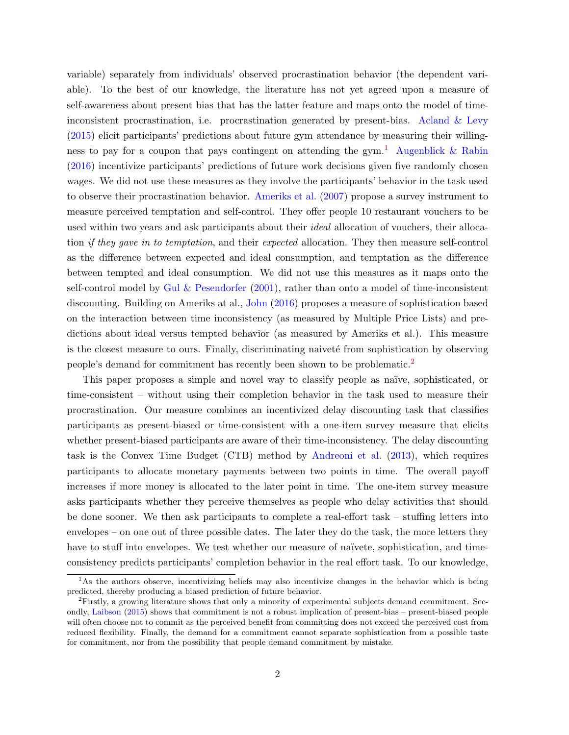variable) separately from individuals' observed procrastination behavior (the dependent variable). To the best of our knowledge, the literature has not yet agreed upon a measure of self-awareness about present bias that has the latter feature and maps onto the model of timeinconsistent procrastination, i.e. procrastination generated by present-bias. [Acland & Levy](#page-17-0) [\(2015\)](#page-17-0) elicit participants' predictions about future gym attendance by measuring their willing-ness to pay for a coupon that pays contingent on attending the gym.<sup>[1](#page-2-0)</sup> [Augenblick & Rabin](#page-18-1) [\(2016\)](#page-18-1) incentivize participants' predictions of future work decisions given five randomly chosen wages. We did not use these measures as they involve the participants' behavior in the task used to observe their procrastination behavior. [Ameriks et al.](#page-17-1) [\(2007\)](#page-17-1) propose a survey instrument to measure perceived temptation and self-control. They offer people 10 restaurant vouchers to be used within two years and ask participants about their *ideal* allocation of vouchers, their allocation if they gave in to temptation, and their expected allocation. They then measure self-control as the difference between expected and ideal consumption, and temptation as the difference between tempted and ideal consumption. We did not use this measures as it maps onto the self-control model by [Gul & Pesendorfer](#page-18-2)  $(2001)$ , rather than onto a model of time-inconsistent discounting. Building on Ameriks at al., [John](#page-18-3) [\(2016\)](#page-18-3) proposes a measure of sophistication based on the interaction between time inconsistency (as measured by Multiple Price Lists) and predictions about ideal versus tempted behavior (as measured by Ameriks et al.). This measure is the closest measure to ours. Finally, discriminating naiveté from sophistication by observing people's demand for commitment has recently been shown to be problematic.[2](#page-2-0)

This paper proposes a simple and novel way to classify people as naïve, sophisticated, or time-consistent – without using their completion behavior in the task used to measure their procrastination. Our measure combines an incentivized delay discounting task that classifies participants as present-biased or time-consistent with a one-item survey measure that elicits whether present-biased participants are aware of their time-inconsistency. The delay discounting task is the Convex Time Budget (CTB) method by [Andreoni et al.](#page-18-4) [\(2013\)](#page-18-4), which requires participants to allocate monetary payments between two points in time. The overall payoff increases if more money is allocated to the later point in time. The one-item survey measure asks participants whether they perceive themselves as people who delay activities that should be done sooner. We then ask participants to complete a real-effort task – stuffing letters into envelopes – on one out of three possible dates. The later they do the task, the more letters they have to stuff into envelopes. We test whether our measure of naïvete, sophistication, and timeconsistency predicts participants' completion behavior in the real effort task. To our knowledge,

<sup>&</sup>lt;sup>1</sup>As the authors observe, incentivizing beliefs may also incentivize changes in the behavior which is being predicted, thereby producing a biased prediction of future behavior.

<sup>2</sup>Firstly, a growing literature shows that only a minority of experimental subjects demand commitment. Secondly, [Laibson](#page-18-5) [\(2015\)](#page-18-5) shows that commitment is not a robust implication of present-bias – present-biased people will often choose not to commit as the perceived benefit from committing does not exceed the perceived cost from reduced flexibility. Finally, the demand for a commitment cannot separate sophistication from a possible taste for commitment, nor from the possibility that people demand commitment by mistake.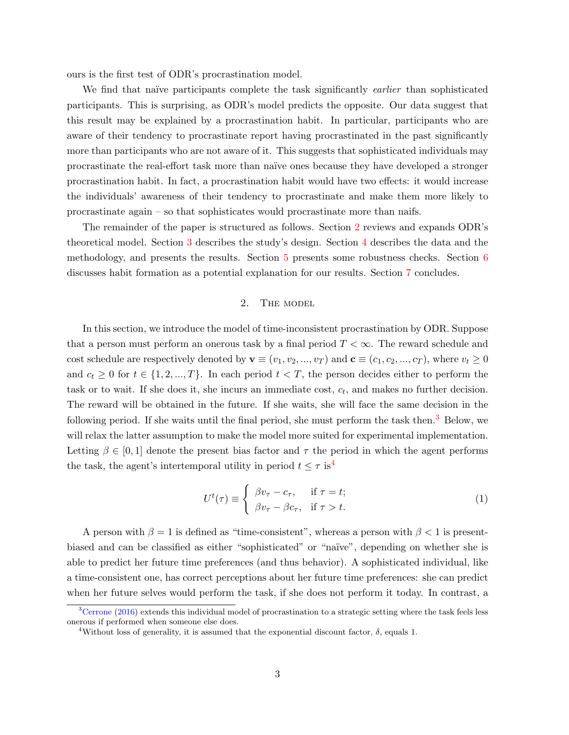ours is the first test of ODR's procrastination model.

We find that naïve participants complete the task significantly *earlier* than sophisticated participants. This is surprising, as ODR's model predicts the opposite. Our data suggest that this result may be explained by a procrastination habit. In particular, participants who are aware of their tendency to procrastinate report having procrastinated in the past significantly more than participants who are not aware of it. This suggests that sophisticated individuals may procrastinate the real-effort task more than na¨ıve ones because they have developed a stronger procrastination habit. In fact, a procrastination habit would have two effects: it would increase the individuals' awareness of their tendency to procrastinate and make them more likely to procrastinate again – so that sophisticates would procrastinate more than naifs.

The remainder of the paper is structured as follows. Section [2](#page-4-0) reviews and expands ODR's theoretical model. Section [3](#page-6-0) describes the study's design. Section [4](#page-8-0) describes the data and the methodology, and presents the results. Section [5](#page-14-0) presents some robustness checks. Section [6](#page-16-0) discusses habit formation as a potential explanation for our results. Section [7](#page-17-2) concludes.

# 2. THE MODEL

<span id="page-4-0"></span>In this section, we introduce the model of time-inconsistent procrastination by ODR. Suppose that a person must perform an onerous task by a final period  $T < \infty$ . The reward schedule and cost schedule are respectively denoted by  $\mathbf{v} \equiv (v_1, v_2, ..., v_T)$  and  $\mathbf{c} \equiv (c_1, c_2, ..., c_T)$ , where  $v_t \geq 0$ and  $c_t \geq 0$  for  $t \in \{1, 2, ..., T\}$ . In each period  $t < T$ , the person decides either to perform the task or to wait. If she does it, she incurs an immediate cost,  $c_t$ , and makes no further decision. The reward will be obtained in the future. If she waits, she will face the same decision in the following period. If she waits until the final period, she must perform the task then.<sup>[3](#page-2-0)</sup> Below, we will relax the latter assumption to make the model more suited for experimental implementation. Letting  $\beta \in [0,1]$  denote the present bias factor and  $\tau$  the period in which the agent performs the task, the agent's intertemporal utility in period  $t \leq \tau$  is<sup>[4](#page-2-0)</sup>

$$
U^{t}(\tau) \equiv \begin{cases} \beta v_{\tau} - c_{\tau}, & \text{if } \tau = t; \\ \beta v_{\tau} - \beta c_{\tau}, & \text{if } \tau > t. \end{cases}
$$
 (1)

A person with  $\beta = 1$  is defined as "time-consistent", whereas a person with  $\beta < 1$  is presentbiased and can be classified as either "sophisticated" or "naïve", depending on whether she is able to predict her future time preferences (and thus behavior). A sophisticated individual, like a time-consistent one, has correct perceptions about her future time preferences: she can predict when her future selves would perform the task, if she does not perform it today. In contrast, a

 $3$ [Cerrone](#page-18-6) [\(2016\)](#page-18-6) extends this individual model of procrastination to a strategic setting where the task feels less onerous if performed when someone else does.

<sup>&</sup>lt;sup>4</sup>Without loss of generality, it is assumed that the exponential discount factor,  $\delta$ , equals 1.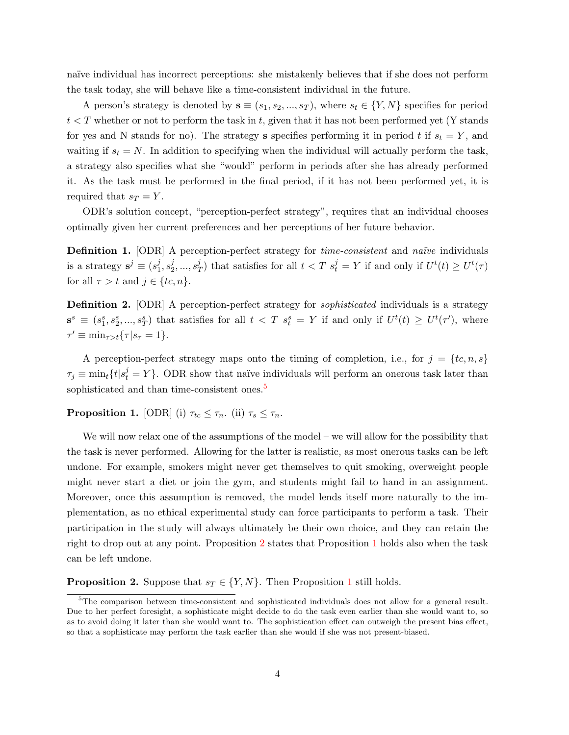naïve individual has incorrect perceptions: she mistakenly believes that if she does not perform the task today, she will behave like a time-consistent individual in the future.

A person's strategy is denoted by  $\mathbf{s} \equiv (s_1, s_2, ..., s_T)$ , where  $s_t \in \{Y, N\}$  specifies for period  $t < T$  whether or not to perform the task in t, given that it has not been performed yet (Y stands for yes and N stands for no). The strategy s specifies performing it in period t if  $s_t = Y$ , and waiting if  $s_t = N$ . In addition to specifying when the individual will actually perform the task, a strategy also specifies what she "would" perform in periods after she has already performed it. As the task must be performed in the final period, if it has not been performed yet, it is required that  $s_T = Y$ .

ODR's solution concept, "perception-perfect strategy", requires that an individual chooses optimally given her current preferences and her perceptions of her future behavior.

**Definition 1.** [ODR] A perception-perfect strategy for *time-consistent* and *naïve* individuals is a strategy  $\mathbf{s}^j \equiv (s_1^j)$  $\frac{j}{1},s_2^j$  $j_2, ..., s_1^j$  $\frac{f}{T}$ ) that satisfies for all  $t < T$   $s_t^j = Y$  if and only if  $U^t(t) \ge U^t(\tau)$ for all  $\tau > t$  and  $j \in \{tc, n\}.$ 

**Definition 2.** [ODR] A perception-perfect strategy for *sophisticated* individuals is a strategy  $\mathbf{s}^s \equiv (s_1^s, s_2^s, ..., s_T^s)$  that satisfies for all  $t < T$   $s_t^s = Y$  if and only if  $U^t(t) \ge U^t(\tau')$ , where  $\tau' \equiv \min_{\tau > t} {\{\tau | s_{\tau} = 1\}}.$ 

A perception-perfect strategy maps onto the timing of completion, i.e., for  $j = \{tc, n, s\}$  $\tau_j \equiv \min_t \{t | s_t^j = Y\}.$  ODR show that naïve individuals will perform an onerous task later than sophisticated and than time-consistent ones.<sup>[5](#page-2-0)</sup>

<span id="page-5-1"></span>**Proposition 1.** [ODR] (i)  $\tau_{tc} \leq \tau_n$ . (ii)  $\tau_s \leq \tau_n$ .

We will now relax one of the assumptions of the model – we will allow for the possibility that the task is never performed. Allowing for the latter is realistic, as most onerous tasks can be left undone. For example, smokers might never get themselves to quit smoking, overweight people might never start a diet or join the gym, and students might fail to hand in an assignment. Moreover, once this assumption is removed, the model lends itself more naturally to the implementation, as no ethical experimental study can force participants to perform a task. Their participation in the study will always ultimately be their own choice, and they can retain the right to drop out at any point. Proposition [2](#page-5-0) states that Proposition [1](#page-5-1) holds also when the task can be left undone.

<span id="page-5-0"></span>**Proposition 2.** Suppose that  $s_T \in \{Y, N\}$ . Then Proposition [1](#page-5-1) still holds.

<sup>5</sup>The comparison between time-consistent and sophisticated individuals does not allow for a general result. Due to her perfect foresight, a sophisticate might decide to do the task even earlier than she would want to, so as to avoid doing it later than she would want to. The sophistication effect can outweigh the present bias effect, so that a sophisticate may perform the task earlier than she would if she was not present-biased.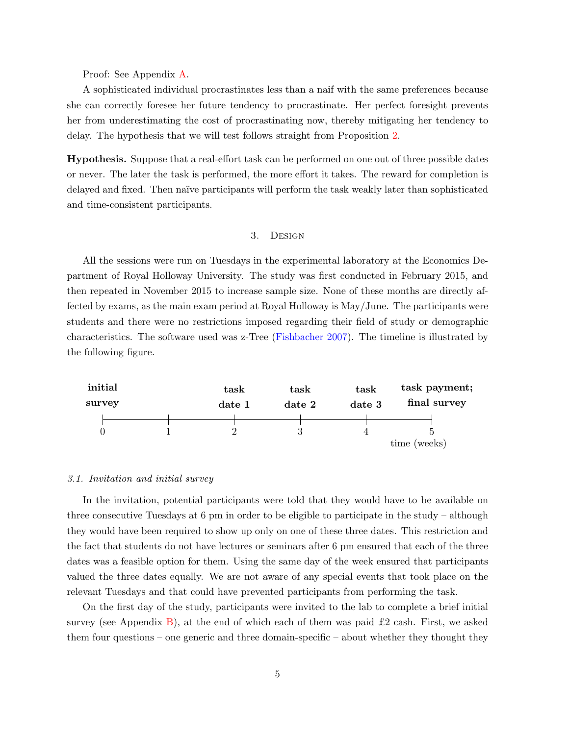Proof: See Appendix [A.](#page-19-0)

A sophisticated individual procrastinates less than a naif with the same preferences because she can correctly foresee her future tendency to procrastinate. Her perfect foresight prevents her from underestimating the cost of procrastinating now, thereby mitigating her tendency to delay. The hypothesis that we will test follows straight from Proposition [2.](#page-5-0)

Hypothesis. Suppose that a real-effort task can be performed on one out of three possible dates or never. The later the task is performed, the more effort it takes. The reward for completion is delayed and fixed. Then naïve participants will perform the task weakly later than sophisticated and time-consistent participants.

# 3. Design

<span id="page-6-0"></span>All the sessions were run on Tuesdays in the experimental laboratory at the Economics Department of Royal Holloway University. The study was first conducted in February 2015, and then repeated in November 2015 to increase sample size. None of these months are directly affected by exams, as the main exam period at Royal Holloway is May/June. The participants were students and there were no restrictions imposed regarding their field of study or demographic characteristics. The software used was z-Tree [\(Fishbacher](#page-18-7) [2007\)](#page-18-7). The timeline is illustrated by the following figure.



#### 3.1. Invitation and initial survey

In the invitation, potential participants were told that they would have to be available on three consecutive Tuesdays at 6 pm in order to be eligible to participate in the study – although they would have been required to show up only on one of these three dates. This restriction and the fact that students do not have lectures or seminars after 6 pm ensured that each of the three dates was a feasible option for them. Using the same day of the week ensured that participants valued the three dates equally. We are not aware of any special events that took place on the relevant Tuesdays and that could have prevented participants from performing the task.

On the first day of the study, participants were invited to the lab to complete a brief initial survey (see Appendix [B\)](#page-19-1), at the end of which each of them was paid  $\pounds 2$  cash. First, we asked them four questions – one generic and three domain-specific – about whether they thought they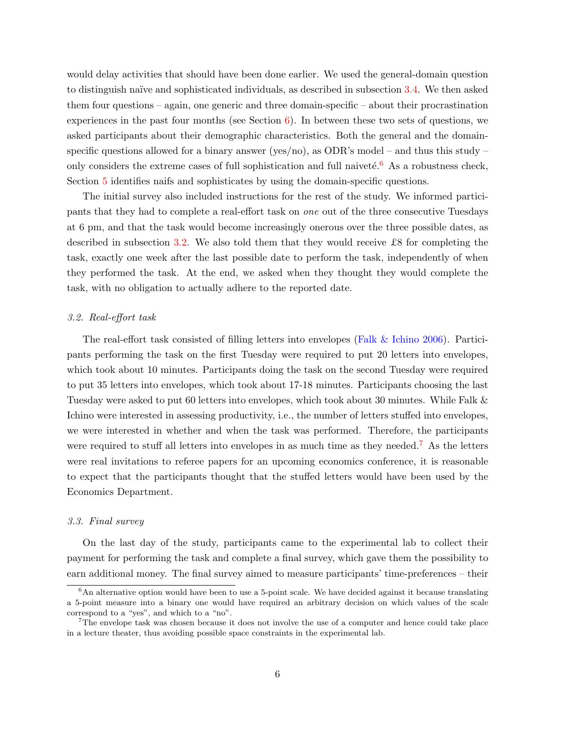would delay activities that should have been done earlier. We used the general-domain question to distinguish na¨ıve and sophisticated individuals, as described in subsection [3.4.](#page-8-1) We then asked them four questions – again, one generic and three domain-specific – about their procrastination experiences in the past four months (see Section  $6$ ). In between these two sets of questions, we asked participants about their demographic characteristics. Both the general and the domainspecific questions allowed for a binary answer (yes/no), as ODR's model – and thus this study – only considers the extreme cases of full sophistication and full naiveté.<sup>[6](#page-2-0)</sup> As a robustness check, Section [5](#page-14-0) identifies naifs and sophisticates by using the domain-specific questions.

The initial survey also included instructions for the rest of the study. We informed participants that they had to complete a real-effort task on one out of the three consecutive Tuesdays at 6 pm, and that the task would become increasingly onerous over the three possible dates, as described in subsection [3.2.](#page-7-0) We also told them that they would receive £8 for completing the task, exactly one week after the last possible date to perform the task, independently of when they performed the task. At the end, we asked when they thought they would complete the task, with no obligation to actually adhere to the reported date.

#### <span id="page-7-0"></span>3.2. Real-effort task

The real-effort task consisted of filling letters into envelopes [\(Falk & Ichino](#page-18-8) [2006\)](#page-18-8). Participants performing the task on the first Tuesday were required to put 20 letters into envelopes, which took about 10 minutes. Participants doing the task on the second Tuesday were required to put 35 letters into envelopes, which took about 17-18 minutes. Participants choosing the last Tuesday were asked to put 60 letters into envelopes, which took about 30 minutes. While Falk & Ichino were interested in assessing productivity, i.e., the number of letters stuffed into envelopes, we were interested in whether and when the task was performed. Therefore, the participants were required to stuff all letters into envelopes in as much time as they needed.<sup>[7](#page-2-0)</sup> As the letters were real invitations to referee papers for an upcoming economics conference, it is reasonable to expect that the participants thought that the stuffed letters would have been used by the Economics Department.

## 3.3. Final survey

On the last day of the study, participants came to the experimental lab to collect their payment for performing the task and complete a final survey, which gave them the possibility to earn additional money. The final survey aimed to measure participants' time-preferences – their

<sup>&</sup>lt;sup>6</sup>An alternative option would have been to use a 5-point scale. We have decided against it because translating a 5-point measure into a binary one would have required an arbitrary decision on which values of the scale correspond to a "yes", and which to a "no".

<sup>7</sup>The envelope task was chosen because it does not involve the use of a computer and hence could take place in a lecture theater, thus avoiding possible space constraints in the experimental lab.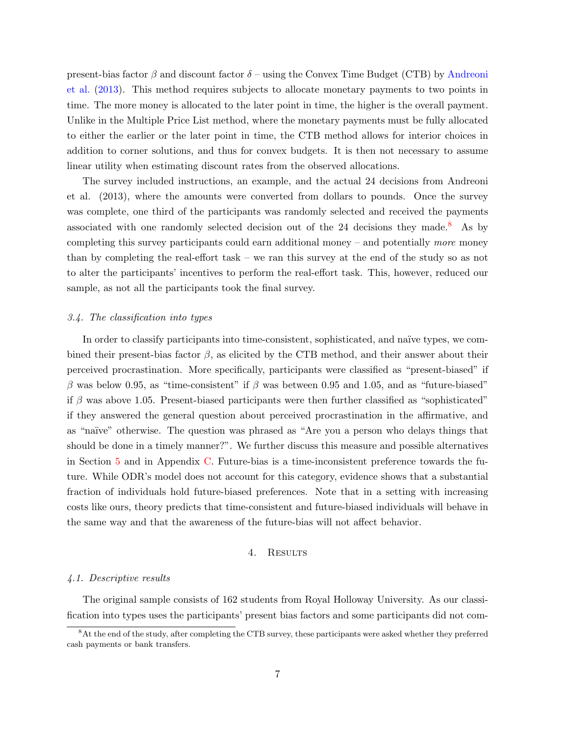present-bias factor  $\beta$  and discount factor  $\delta$  – using the Convex Time Budget (CTB) by [Andreoni](#page-18-4) [et al.](#page-18-4) [\(2013\)](#page-18-4). This method requires subjects to allocate monetary payments to two points in time. The more money is allocated to the later point in time, the higher is the overall payment. Unlike in the Multiple Price List method, where the monetary payments must be fully allocated to either the earlier or the later point in time, the CTB method allows for interior choices in addition to corner solutions, and thus for convex budgets. It is then not necessary to assume linear utility when estimating discount rates from the observed allocations.

The survey included instructions, an example, and the actual 24 decisions from Andreoni et al. (2013), where the amounts were converted from dollars to pounds. Once the survey was complete, one third of the participants was randomly selected and received the payments associated with one randomly selected decision out of the 24 decisions they made.<sup>[8](#page-2-0)</sup> As by completing this survey participants could earn additional money – and potentially *more* money than by completing the real-effort task – we ran this survey at the end of the study so as not to alter the participants' incentives to perform the real-effort task. This, however, reduced our sample, as not all the participants took the final survey.

### <span id="page-8-1"></span>3.4. The classification into types

In order to classify participants into time-consistent, sophisticated, and naïve types, we combined their present-bias factor  $\beta$ , as elicited by the CTB method, and their answer about their perceived procrastination. More specifically, participants were classified as "present-biased" if β was below 0.95, as "time-consistent" if β was between 0.95 and 1.05, and as "future-biased" if  $\beta$  was above 1.05. Present-biased participants were then further classified as "sophisticated" if they answered the general question about perceived procrastination in the affirmative, and as "naïve" otherwise. The question was phrased as "Are you a person who delays things that should be done in a timely manner?". We further discuss this measure and possible alternatives in Section [5](#page-14-0) and in Appendix [C.](#page-20-0) Future-bias is a time-inconsistent preference towards the future. While ODR's model does not account for this category, evidence shows that a substantial fraction of individuals hold future-biased preferences. Note that in a setting with increasing costs like ours, theory predicts that time-consistent and future-biased individuals will behave in the same way and that the awareness of the future-bias will not affect behavior.

#### 4. Results

#### <span id="page-8-2"></span><span id="page-8-0"></span>4.1. Descriptive results

The original sample consists of 162 students from Royal Holloway University. As our classification into types uses the participants' present bias factors and some participants did not com-

<sup>&</sup>lt;sup>8</sup>At the end of the study, after completing the CTB survey, these participants were asked whether they preferred cash payments or bank transfers.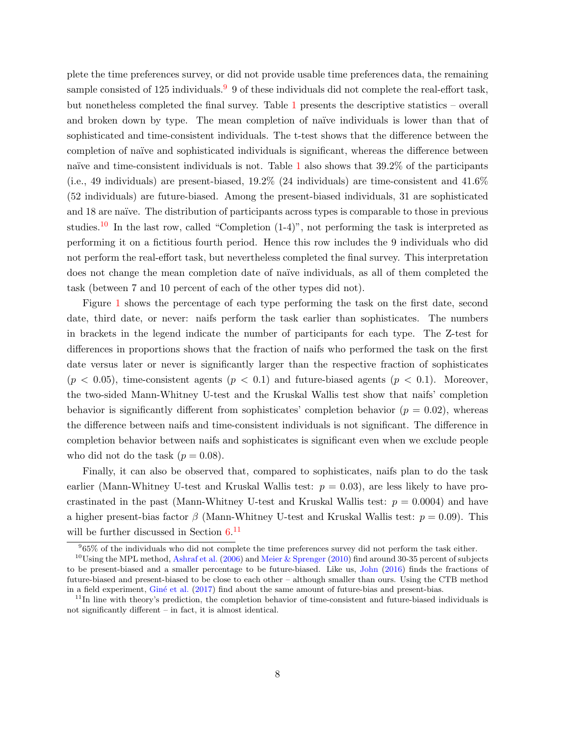plete the time preferences survey, or did not provide usable time preferences data, the remaining sample consisted of 125 individuals.<sup>[9](#page-2-0)</sup> 9 of these individuals did not complete the real-effort task, but nonetheless completed the final survey. Table [1](#page-10-0) presents the descriptive statistics – overall and broken down by type. The mean completion of naïve individuals is lower than that of sophisticated and time-consistent individuals. The t-test shows that the difference between the completion of naïve and sophisticated individuals is significant, whereas the difference between naïve and time-consistent individuals is not. Table  $1$  also shows that  $39.2\%$  of the participants (i.e., 49 individuals) are present-biased,  $19.2\%$  (24 individuals) are time-consistent and  $41.6\%$ (52 individuals) are future-biased. Among the present-biased individuals, 31 are sophisticated and 18 are naïve. The distribution of participants across types is comparable to those in previous studies.<sup>[10](#page-2-0)</sup> In the last row, called "Completion  $(1-4)$ ", not performing the task is interpreted as performing it on a fictitious fourth period. Hence this row includes the 9 individuals who did not perform the real-effort task, but nevertheless completed the final survey. This interpretation does not change the mean completion date of naïve individuals, as all of them completed the task (between 7 and 10 percent of each of the other types did not).

Figure [1](#page-11-0) shows the percentage of each type performing the task on the first date, second date, third date, or never: naifs perform the task earlier than sophisticates. The numbers in brackets in the legend indicate the number of participants for each type. The Z-test for differences in proportions shows that the fraction of naifs who performed the task on the first date versus later or never is significantly larger than the respective fraction of sophisticates  $(p < 0.05)$ , time-consistent agents  $(p < 0.1)$  and future-biased agents  $(p < 0.1)$ . Moreover, the two-sided Mann-Whitney U-test and the Kruskal Wallis test show that naifs' completion behavior is significantly different from sophisticates' completion behavior  $(p = 0.02)$ , whereas the difference between naifs and time-consistent individuals is not significant. The difference in completion behavior between naifs and sophisticates is significant even when we exclude people who did not do the task  $(p = 0.08)$ .

Finally, it can also be observed that, compared to sophisticates, naifs plan to do the task earlier (Mann-Whitney U-test and Kruskal Wallis test:  $p = 0.03$ ), are less likely to have procrastinated in the past (Mann-Whitney U-test and Kruskal Wallis test:  $p = 0.0004$ ) and have a higher present-bias factor  $\beta$  (Mann-Whitney U-test and Kruskal Wallis test:  $p = 0.09$ ). This will be further discussed in Section  $6.<sup>11</sup>$  $6.<sup>11</sup>$  $6.<sup>11</sup>$  $6.<sup>11</sup>$ 

<sup>9</sup> 65% of the individuals who did not complete the time preferences survey did not perform the task either.

<sup>&</sup>lt;sup>10</sup>Using the MPL method, [Ashraf et al.](#page-18-9) [\(2006\)](#page-18-9) and [Meier & Sprenger](#page-18-10) [\(2010\)](#page-18-10) find around 30-35 percent of subjects to be present-biased and a smaller percentage to be future-biased. Like us, [John](#page-18-3) [\(2016\)](#page-18-3) finds the fractions of future-biased and present-biased to be close to each other – although smaller than ours. Using the CTB method in a field experiment, Giné et al. [\(2017\)](#page-18-11) find about the same amount of future-bias and present-bias.

<sup>&</sup>lt;sup>11</sup>In line with theory's prediction, the completion behavior of time-consistent and future-biased individuals is not significantly different – in fact, it is almost identical.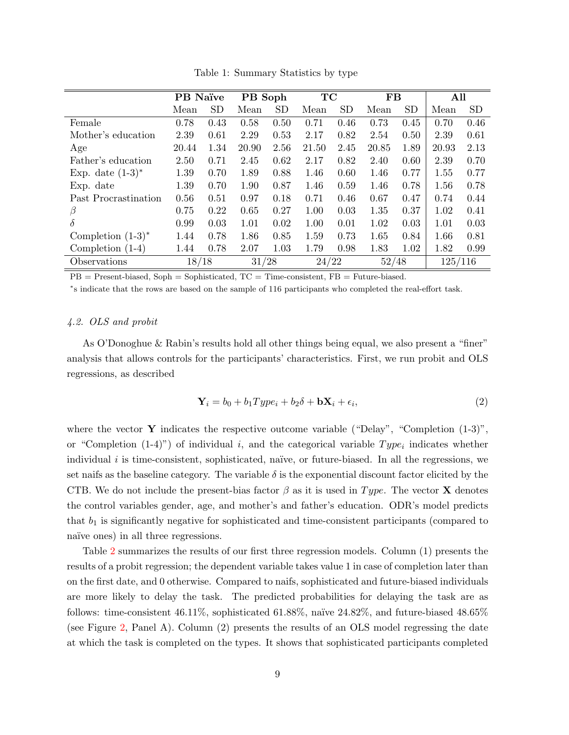<span id="page-10-0"></span>

|                      | PB Naïve |           | PB Soph |           | TC    |           | <b>FB</b> |           | All     |           |
|----------------------|----------|-----------|---------|-----------|-------|-----------|-----------|-----------|---------|-----------|
|                      | Mean     | <b>SD</b> | Mean    | <b>SD</b> | Mean  | <b>SD</b> | Mean      | <b>SD</b> | Mean    | <b>SD</b> |
| Female               | 0.78     | 0.43      | 0.58    | 0.50      | 0.71  | 0.46      | 0.73      | 0.45      | 0.70    | 0.46      |
| Mother's education   | 2.39     | 0.61      | 2.29    | 0.53      | 2.17  | 0.82      | 2.54      | 0.50      | 2.39    | 0.61      |
| Age                  | 20.44    | 1.34      | 20.90   | 2.56      | 21.50 | 2.45      | 20.85     | 1.89      | 20.93   | 2.13      |
| Father's education   | 2.50     | 0.71      | 2.45    | 0.62      | 2.17  | 0.82      | 2.40      | 0.60      | 2.39    | 0.70      |
| Exp. date $(1-3)^*$  | 1.39     | 0.70      | 1.89    | 0.88      | 1.46  | 0.60      | 1.46      | 0.77      | 1.55    | 0.77      |
| Exp. date            | 1.39     | 0.70      | 1.90    | 0.87      | 1.46  | 0.59      | 1.46      | 0.78      | 1.56    | 0.78      |
| Past Procrastination | 0.56     | 0.51      | 0.97    | 0.18      | 0.71  | 0.46      | 0.67      | 0.47      | 0.74    | 0.44      |
| β                    | 0.75     | 0.22      | 0.65    | 0.27      | 1.00  | 0.03      | 1.35      | 0.37      | 1.02    | 0.41      |
| δ                    | 0.99     | 0.03      | 1.01    | 0.02      | 1.00  | 0.01      | 1.02      | 0.03      | 1.01    | 0.03      |
| Completion $(1-3)^*$ | 1.44     | 0.78      | 1.86    | 0.85      | 1.59  | 0.73      | 1.65      | 0.84      | 1.66    | 0.81      |
| Completion $(1-4)$   | 1.44     | 0.78      | 2.07    | 1.03      | 1.79  | 0.98      | 1.83      | 1.02      | 1.82    | 0.99      |
| Observations         | 18/18    |           | 31/28   |           | 24/22 |           | 52/48     |           | 125/116 |           |

Table 1: Summary Statistics by type

 $PB =$  Present-biased,  $Soph =$  Sophisticated,  $TC =$  Time-consistent,  $FB =$  Future-biased.

∗ s indicate that the rows are based on the sample of 116 participants who completed the real-effort task.

# 4.2. OLS and probit

As O'Donoghue & Rabin's results hold all other things being equal, we also present a "finer" analysis that allows controls for the participants' characteristics. First, we run probit and OLS regressions, as described

$$
\mathbf{Y}_i = b_0 + b_1 Type_i + b_2 \delta + \mathbf{b} \mathbf{X}_i + \epsilon_i,
$$
\n(2)

where the vector Y indicates the respective outcome variable ("Delay", "Completion  $(1-3)$ ", or "Completion  $(1-4)$ ") of individual i, and the categorical variable  $Type_i$  indicates whether individual  $i$  is time-consistent, sophisticated, naïve, or future-biased. In all the regressions, we set naifs as the baseline category. The variable  $\delta$  is the exponential discount factor elicited by the CTB. We do not include the present-bias factor  $\beta$  as it is used in Type. The vector **X** denotes the control variables gender, age, and mother's and father's education. ODR's model predicts that  $b_1$  is significantly negative for sophisticated and time-consistent participants (compared to naïve ones) in all three regressions.

Table [2](#page-12-0) summarizes the results of our first three regression models. Column (1) presents the results of a probit regression; the dependent variable takes value 1 in case of completion later than on the first date, and 0 otherwise. Compared to naifs, sophisticated and future-biased individuals are more likely to delay the task. The predicted probabilities for delaying the task are as follows: time-consistent 46.11%, sophisticated 61.88%, naïve  $24.82\%$ , and future-biased 48.65% (see Figure [2,](#page-13-0) Panel A). Column (2) presents the results of an OLS model regressing the date at which the task is completed on the types. It shows that sophisticated participants completed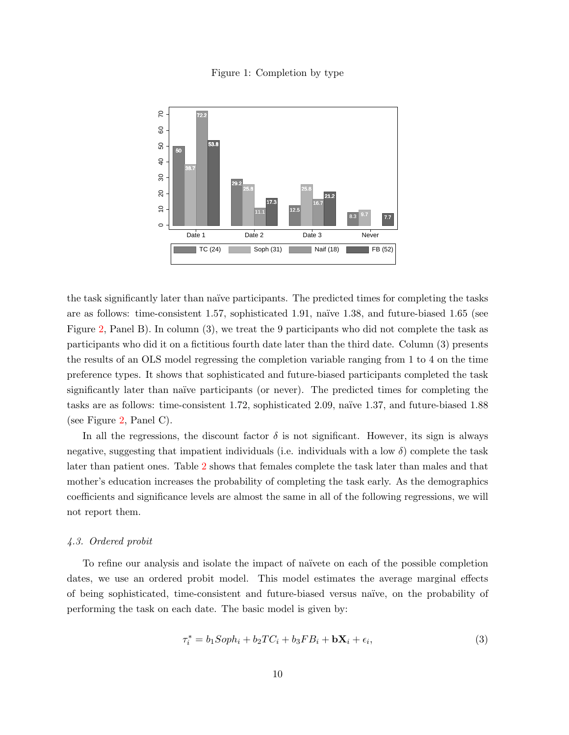Figure 1: Completion by type

<span id="page-11-0"></span>

the task significantly later than naïve participants. The predicted times for completing the tasks are as follows: time-consistent 1.57, sophisticated 1.91, naïve 1.38, and future-biased 1.65 (see Figure [2,](#page-13-0) Panel B). In column (3), we treat the 9 participants who did not complete the task as participants who did it on a fictitious fourth date later than the third date. Column (3) presents the results of an OLS model regressing the completion variable ranging from 1 to 4 on the time preference types. It shows that sophisticated and future-biased participants completed the task significantly later than naïve participants (or never). The predicted times for completing the tasks are as follows: time-consistent 1.72, sophisticated 2.09, naïve 1.37, and future-biased 1.88 (see Figure [2,](#page-13-0) Panel C).

In all the regressions, the discount factor  $\delta$  is not significant. However, its sign is always negative, suggesting that impatient individuals (i.e. individuals with a low  $\delta$ ) complete the task later than patient ones. Table [2](#page-12-0) shows that females complete the task later than males and that mother's education increases the probability of completing the task early. As the demographics coefficients and significance levels are almost the same in all of the following regressions, we will not report them.

#### 4.3. Ordered probit

To refine our analysis and isolate the impact of na¨ıvete on each of the possible completion dates, we use an ordered probit model. This model estimates the average marginal effects of being sophisticated, time-consistent and future-biased versus na¨ıve, on the probability of performing the task on each date. The basic model is given by:

$$
\tau_i^* = b_1 \text{Soph}_i + b_2 \text{TC}_i + b_3 \text{FB}_i + \mathbf{bX}_i + \epsilon_i,\tag{3}
$$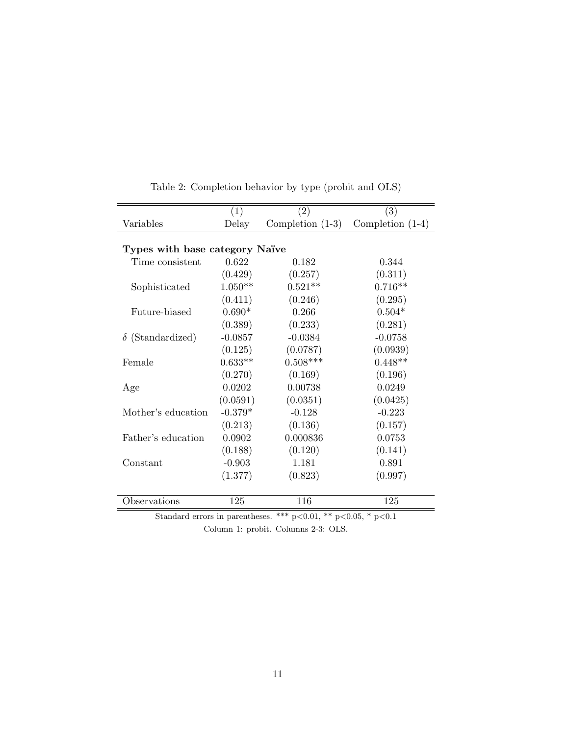<span id="page-12-0"></span>

|                                | (1)       | $\left( 2\right)$        | (3)                |  |  |  |  |
|--------------------------------|-----------|--------------------------|--------------------|--|--|--|--|
| Variables                      | Delay     | Completion $(1-3)$       | Completion $(1-4)$ |  |  |  |  |
|                                |           |                          |                    |  |  |  |  |
| Types with base category Naïve |           |                          |                    |  |  |  |  |
| Time consistent                | 0.622     | 0.182                    | 0.344              |  |  |  |  |
|                                | (0.429)   | (0.257)                  | (0.311)            |  |  |  |  |
| Sophisticated                  | $1.050**$ | $0.521**$                | $0.716**$          |  |  |  |  |
|                                | (0.411)   | (0.246)                  | (0.295)            |  |  |  |  |
| Future-biased                  | $0.690*$  | 0.266                    | $0.504*$           |  |  |  |  |
|                                | (0.389)   | (0.233)                  | (0.281)            |  |  |  |  |
| $\delta$ (Standardized)        | $-0.0857$ | $-0.0384$                | $-0.0758$          |  |  |  |  |
|                                | (0.125)   | (0.0787)                 | (0.0939)           |  |  |  |  |
| Female                         | $0.633**$ | $0.508***$               | $0.448**$          |  |  |  |  |
|                                | (0.270)   | (0.169)                  | (0.196)            |  |  |  |  |
| Age                            | 0.0202    | 0.00738                  | 0.0249             |  |  |  |  |
|                                | (0.0591)  | (0.0351)                 | (0.0425)           |  |  |  |  |
| Mother's education             | $-0.379*$ | $-0.128$                 | $-0.223$           |  |  |  |  |
|                                | (0.213)   | (0.136)                  | (0.157)            |  |  |  |  |
| Father's education             | 0.0902    | 0.000836                 | 0.0753             |  |  |  |  |
|                                | (0.188)   | (0.120)                  | (0.141)            |  |  |  |  |
| Constant                       | $-0.903$  | 1.181                    | 0.891              |  |  |  |  |
|                                | (1.377)   | (0.823)                  | (0.997)            |  |  |  |  |
|                                |           |                          |                    |  |  |  |  |
| Observations                   | 125       | 116                      | 125                |  |  |  |  |
| $\sim$ $\sim$ $\sim$ $\sim$    |           | ا مله مله<br>$0.01 - 44$ | 0.05 <sub>0</sub>  |  |  |  |  |

Table 2: Completion behavior by type (probit and OLS)

Standard errors in parentheses. \*\*\* p<0.01, \*\* p<0.05, \* p<0.1 Column 1: probit. Columns 2-3: OLS.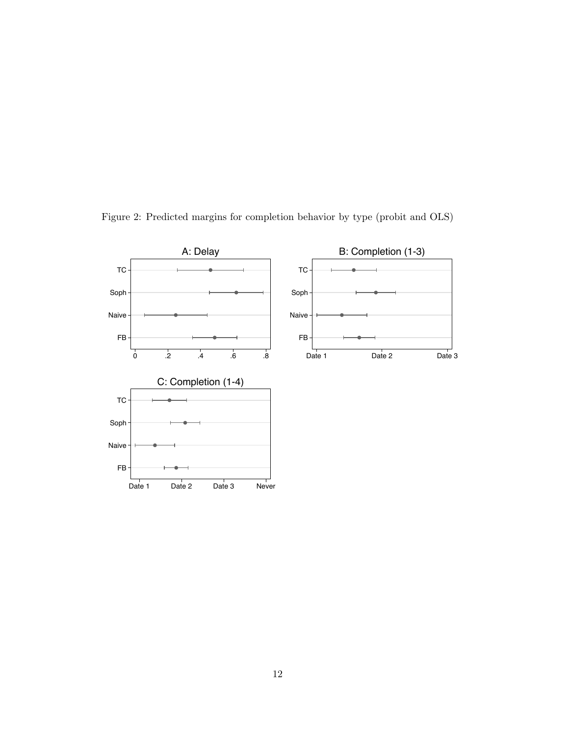

<span id="page-13-0"></span>Figure 2: Predicted margins for completion behavior by type (probit and OLS)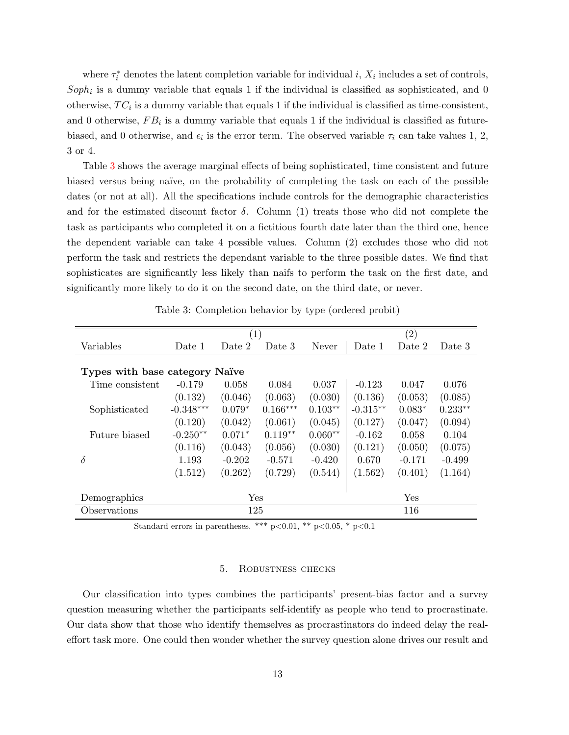where  $\tau_i^*$  denotes the latent completion variable for individual i,  $X_i$  includes a set of controls,  $Soph_i$  is a dummy variable that equals 1 if the individual is classified as sophisticated, and 0 otherwise,  $TC_i$  is a dummy variable that equals 1 if the individual is classified as time-consistent, and 0 otherwise,  $FB_i$  is a dummy variable that equals 1 if the individual is classified as futurebiased, and 0 otherwise, and  $\epsilon_i$  is the error term. The observed variable  $\tau_i$  can take values 1, 2, 3 or 4.

Table [3](#page-14-1) shows the average marginal effects of being sophisticated, time consistent and future biased versus being na¨ıve, on the probability of completing the task on each of the possible dates (or not at all). All the specifications include controls for the demographic characteristics and for the estimated discount factor  $\delta$ . Column (1) treats those who did not complete the task as participants who completed it on a fictitious fourth date later than the third one, hence the dependent variable can take 4 possible values. Column (2) excludes those who did not perform the task and restricts the dependant variable to the three possible dates. We find that sophisticates are significantly less likely than naifs to perform the task on the first date, and significantly more likely to do it on the second date, on the third date, or never.

<span id="page-14-1"></span>

|                                | (1)         |          |            |           | (2)        |          |           |  |
|--------------------------------|-------------|----------|------------|-----------|------------|----------|-----------|--|
| Variables                      | Date 1      | Date 2   | Date 3     | Never     | Date 1     | Date 2   | Date 3    |  |
|                                |             |          |            |           |            |          |           |  |
| Types with base category Naïve |             |          |            |           |            |          |           |  |
| Time consistent                | $-0.179$    | 0.058    | 0.084      | 0.037     | $-0.123$   | 0.047    | 0.076     |  |
|                                | (0.132)     | (0.046)  | (0.063)    | (0.030)   | (0.136)    | (0.053)  | (0.085)   |  |
| Sophisticated                  | $-0.348***$ | $0.079*$ | $0.166***$ | $0.103**$ | $-0.315**$ | $0.083*$ | $0.233**$ |  |
|                                | (0.120)     | (0.042)  | (0.061)    | (0.045)   | (0.127)    | (0.047)  | (0.094)   |  |
| Future biased                  | $-0.250**$  | $0.071*$ | $0.119**$  | $0.060**$ | $-0.162$   | 0.058    | 0.104     |  |
|                                | (0.116)     | (0.043)  | (0.056)    | (0.030)   | (0.121)    | (0.050)  | (0.075)   |  |
| $\delta$                       | 1.193       | $-0.202$ | $-0.571$   | $-0.420$  | 0.670      | $-0.171$ | $-0.499$  |  |
|                                | (1.512)     | (0.262)  | (0.729)    | (0.544)   | (1.562)    | (0.401)  | (1.164)   |  |
|                                |             |          |            |           |            |          |           |  |
| Demographics                   | Yes         |          |            |           | Yes        |          |           |  |
| Observations                   | 125         |          |            |           | 116        |          |           |  |
|                                |             |          |            |           |            |          |           |  |

Table 3: Completion behavior by type (ordered probit)

Standard errors in parentheses. \*\*\* p<0.01, \*\* p<0.05, \* p<0.1

## 5. Robustness checks

<span id="page-14-0"></span>Our classification into types combines the participants' present-bias factor and a survey question measuring whether the participants self-identify as people who tend to procrastinate. Our data show that those who identify themselves as procrastinators do indeed delay the realeffort task more. One could then wonder whether the survey question alone drives our result and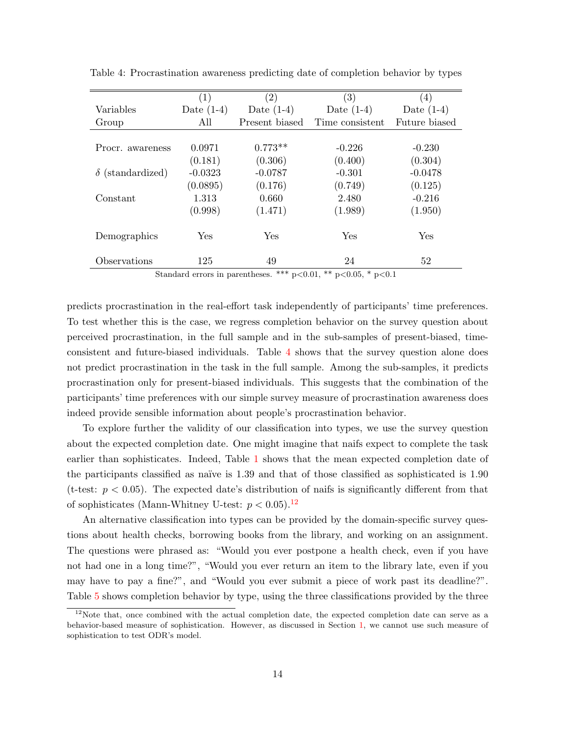|                         | (1)          | $\left( 2\right)$ | $\left( 3\right)$ | (4)           |
|-------------------------|--------------|-------------------|-------------------|---------------|
| Variables               | Date $(1-4)$ | Date $(1-4)$      | Date $(1-4)$      | Date $(1-4)$  |
| Group                   | All          | Present biased    | Time consistent   | Future biased |
|                         |              |                   |                   |               |
| Procr. awareness        | 0.0971       | $0.773**$         | $-0.226$          | $-0.230$      |
|                         | (0.181)      | (0.306)           | (0.400)           | (0.304)       |
| $\delta$ (standardized) | $-0.0323$    | $-0.0787$         | $-0.301$          | $-0.0478$     |
|                         | (0.0895)     | (0.176)           | (0.749)           | (0.125)       |
| Constant                | 1.313        | 0.660             | 2.480             | $-0.216$      |
|                         | (0.998)      | (1.471)           | (1.989)           | (1.950)       |
|                         |              |                   |                   |               |
| Demographics            | Yes          | Yes               | Yes               | Yes           |
|                         |              |                   |                   |               |
| Observations            | 125          | 49                | 24                | 52            |

<span id="page-15-0"></span>Table 4: Procrastination awareness predicting date of completion behavior by types

Standard errors in parentheses. \*\*\*  $p<0.01$ , \*\*  $p<0.05$ , \*  $p<0.1$ 

predicts procrastination in the real-effort task independently of participants' time preferences. To test whether this is the case, we regress completion behavior on the survey question about perceived procrastination, in the full sample and in the sub-samples of present-biased, timeconsistent and future-biased individuals. Table [4](#page-15-0) shows that the survey question alone does not predict procrastination in the task in the full sample. Among the sub-samples, it predicts procrastination only for present-biased individuals. This suggests that the combination of the participants' time preferences with our simple survey measure of procrastination awareness does indeed provide sensible information about people's procrastination behavior.

To explore further the validity of our classification into types, we use the survey question about the expected completion date. One might imagine that naifs expect to complete the task earlier than sophisticates. Indeed, Table [1](#page-10-0) shows that the mean expected completion date of the participants classified as naïve is 1.39 and that of those classified as sophisticated is 1.90 (t-test:  $p < 0.05$ ). The expected date's distribution of naifs is significantly different from that of sophisticates (Mann-Whitney U-test:  $p < 0.05$ ).<sup>[12](#page-2-0)</sup>

An alternative classification into types can be provided by the domain-specific survey questions about health checks, borrowing books from the library, and working on an assignment. The questions were phrased as: "Would you ever postpone a health check, even if you have not had one in a long time?", "Would you ever return an item to the library late, even if you may have to pay a fine?", and "Would you ever submit a piece of work past its deadline?". Table [5](#page-16-1) shows completion behavior by type, using the three classifications provided by the three

 $12$ Note that, once combined with the actual completion date, the expected completion date can serve as a behavior-based measure of sophistication. However, as discussed in Section [1,](#page-2-1) we cannot use such measure of sophistication to test ODR's model.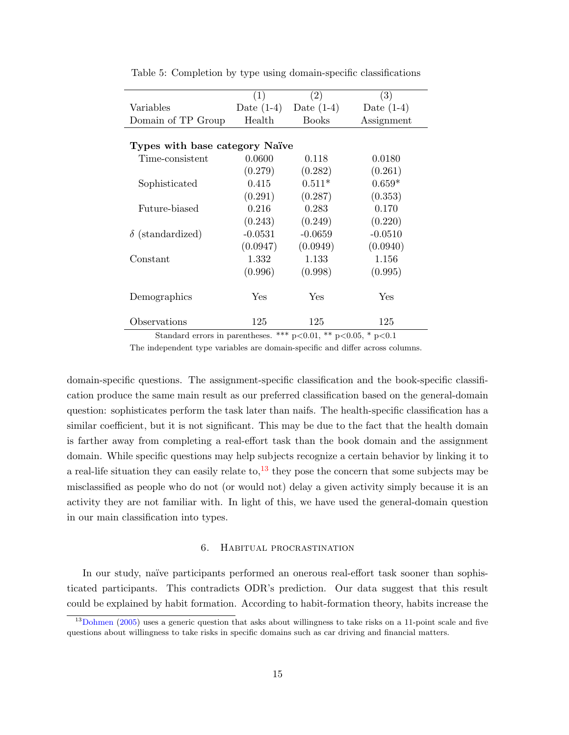|                                | (1)          | $\left( 2\right)$ | (3)          |  |  |  |  |
|--------------------------------|--------------|-------------------|--------------|--|--|--|--|
| Variables                      | Date $(1-4)$ | Date $(1-4)$      | Date $(1-4)$ |  |  |  |  |
| Domain of TP Group             | Health       | <b>Books</b>      | Assignment   |  |  |  |  |
|                                |              |                   |              |  |  |  |  |
| Types with base category Naïve |              |                   |              |  |  |  |  |
| Time-consistent                | 0.0600       | 0.118             | 0.0180       |  |  |  |  |
|                                | (0.279)      | (0.282)           | (0.261)      |  |  |  |  |
| Sophisticated                  | 0.415        | $0.511*$          | $0.659*$     |  |  |  |  |
|                                | (0.291)      | (0.287)           | (0.353)      |  |  |  |  |
| Future-biased                  | 0.216        | 0.283             | 0.170        |  |  |  |  |
|                                | (0.243)      | (0.249)           | (0.220)      |  |  |  |  |
| $\delta$ (standardized)        | $-0.0531$    | $-0.0659$         | $-0.0510$    |  |  |  |  |
|                                | (0.0947)     | (0.0949)          | (0.0940)     |  |  |  |  |
| Constant                       | 1.332        | 1.133             | 1.156        |  |  |  |  |
|                                | (0.996)      | (0.998)           | (0.995)      |  |  |  |  |
| Demographics                   | Yes          | Yes               | Yes          |  |  |  |  |
| Observations                   | 125          | 125               | 125          |  |  |  |  |

<span id="page-16-1"></span>Table 5: Completion by type using domain-specific classifications

Standard errors in parentheses. \*\*\*  $p<0.01$ , \*\*  $p<0.05$ , \*  $p<0.1$ 

The independent type variables are domain-specific and differ across columns.

domain-specific questions. The assignment-specific classification and the book-specific classification produce the same main result as our preferred classification based on the general-domain question: sophisticates perform the task later than naifs. The health-specific classification has a similar coefficient, but it is not significant. This may be due to the fact that the health domain is farther away from completing a real-effort task than the book domain and the assignment domain. While specific questions may help subjects recognize a certain behavior by linking it to a real-life situation they can easily relate to, $^{13}$  $^{13}$  $^{13}$  they pose the concern that some subjects may be misclassified as people who do not (or would not) delay a given activity simply because it is an activity they are not familiar with. In light of this, we have used the general-domain question in our main classification into types.

#### 6. Habitual procrastination

<span id="page-16-0"></span>In our study, naïve participants performed an onerous real-effort task sooner than sophisticated participants. This contradicts ODR's prediction. Our data suggest that this result could be explained by habit formation. According to habit-formation theory, habits increase the

<sup>&</sup>lt;sup>13</sup>[Dohmen](#page-18-12) [\(2005\)](#page-18-12) uses a generic question that asks about willingness to take risks on a 11-point scale and five questions about willingness to take risks in specific domains such as car driving and financial matters.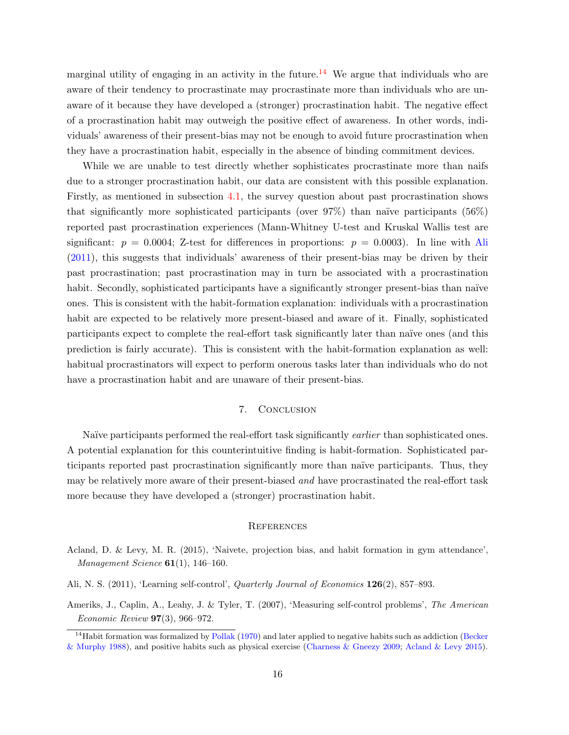marginal utility of engaging in an activity in the future.<sup>[14](#page-2-0)</sup> We argue that individuals who are aware of their tendency to procrastinate may procrastinate more than individuals who are unaware of it because they have developed a (stronger) procrastination habit. The negative effect of a procrastination habit may outweigh the positive effect of awareness. In other words, individuals' awareness of their present-bias may not be enough to avoid future procrastination when they have a procrastination habit, especially in the absence of binding commitment devices.

While we are unable to test directly whether sophisticates procrastinate more than naifs due to a stronger procrastination habit, our data are consistent with this possible explanation. Firstly, as mentioned in subsection [4.1,](#page-8-2) the survey question about past procrastination shows that significantly more sophisticated participants (over  $97\%$ ) than naïve participants (56%) reported past procrastination experiences (Mann-Whitney U-test and Kruskal Wallis test are significant:  $p = 0.0004$ ; Z-test for differences in proportions:  $p = 0.0003$ ). In line with [Ali](#page-17-3) [\(2011\)](#page-17-3), this suggests that individuals' awareness of their present-bias may be driven by their past procrastination; past procrastination may in turn be associated with a procrastination habit. Secondly, sophisticated participants have a significantly stronger present-bias than naïve ones. This is consistent with the habit-formation explanation: individuals with a procrastination habit are expected to be relatively more present-biased and aware of it. Finally, sophisticated participants expect to complete the real-effort task significantly later than naïve ones (and this prediction is fairly accurate). This is consistent with the habit-formation explanation as well: habitual procrastinators will expect to perform onerous tasks later than individuals who do not have a procrastination habit and are unaware of their present-bias.

# 7. CONCLUSION

<span id="page-17-2"></span>Naïve participants performed the real-effort task significantly *earlier* than sophisticated ones. A potential explanation for this counterintuitive finding is habit-formation. Sophisticated participants reported past procrastination significantly more than na¨ıve participants. Thus, they may be relatively more aware of their present-biased and have procrastinated the real-effort task more because they have developed a (stronger) procrastination habit.

#### **REFERENCES**

- <span id="page-17-0"></span>Acland, D. & Levy, M. R. (2015), 'Naivete, projection bias, and habit formation in gym attendance', *Management Science*  $61(1)$ , 146-160.
- <span id="page-17-3"></span>Ali, N. S. (2011), 'Learning self-control', Quarterly Journal of Economics 126(2), 857–893.
- <span id="page-17-1"></span>Ameriks, J., Caplin, A., Leahy, J. & Tyler, T. (2007), 'Measuring self-control problems', The American Economic Review 97(3), 966–972.

 $14$ Habit formation was formalized by [Pollak](#page-18-13) [\(1970\)](#page-18-13) and later applied to negative habits such as addiction [\(Becker](#page-18-14) [& Murphy](#page-18-14) [1988\)](#page-18-14), and positive habits such as physical exercise [\(Charness & Gneezy](#page-18-15) [2009;](#page-18-15) [Acland & Levy](#page-17-0) [2015\)](#page-17-0).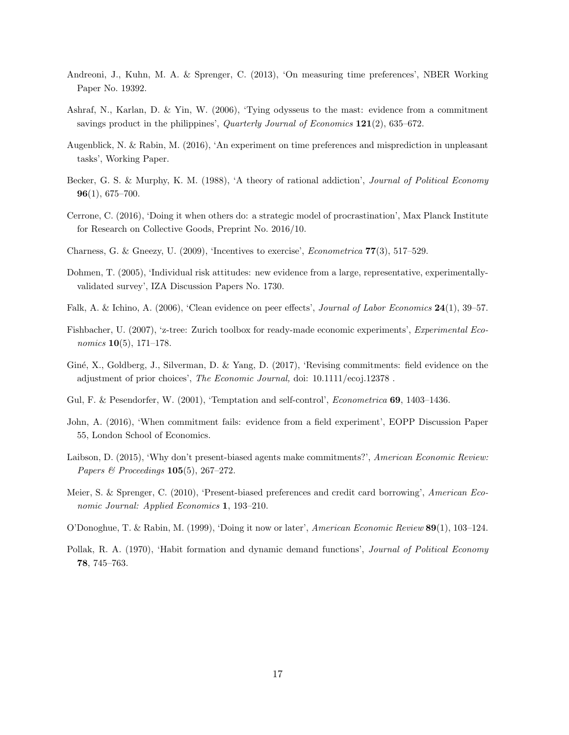- <span id="page-18-4"></span>Andreoni, J., Kuhn, M. A. & Sprenger, C. (2013), 'On measuring time preferences', NBER Working Paper No. 19392.
- <span id="page-18-9"></span>Ashraf, N., Karlan, D. & Yin, W. (2006), 'Tying odysseus to the mast: evidence from a commitment savings product in the philippines', *Quarterly Journal of Economics* 121(2), 635–672.
- <span id="page-18-1"></span>Augenblick, N. & Rabin, M. (2016), 'An experiment on time preferences and misprediction in unpleasant tasks', Working Paper.
- <span id="page-18-14"></span>Becker, G. S. & Murphy, K. M. (1988), 'A theory of rational addiction', Journal of Political Economy 96(1), 675–700.
- <span id="page-18-6"></span>Cerrone, C. (2016), 'Doing it when others do: a strategic model of procrastination', Max Planck Institute for Research on Collective Goods, Preprint No. 2016/10.
- <span id="page-18-15"></span>Charness, G. & Gneezy, U. (2009), 'Incentives to exercise', Econometrica 77(3), 517–529.
- <span id="page-18-12"></span>Dohmen, T. (2005), 'Individual risk attitudes: new evidence from a large, representative, experimentallyvalidated survey', IZA Discussion Papers No. 1730.
- <span id="page-18-8"></span>Falk, A. & Ichino, A. (2006), 'Clean evidence on peer effects', Journal of Labor Economics 24(1), 39–57.
- <span id="page-18-7"></span>Fishbacher, U. (2007), 'z-tree: Zurich toolbox for ready-made economic experiments', Experimental Economics 10(5), 171–178.
- <span id="page-18-11"></span>Giné, X., Goldberg, J., Silverman, D. & Yang, D. (2017), 'Revising commitments: field evidence on the adjustment of prior choices', The Economic Journal, doi: 10.1111/ecoj.12378 .
- <span id="page-18-2"></span>Gul, F. & Pesendorfer, W. (2001), 'Temptation and self-control', *Econometrica* 69, 1403–1436.
- <span id="page-18-3"></span>John, A. (2016), 'When commitment fails: evidence from a field experiment', EOPP Discussion Paper 55, London School of Economics.
- <span id="page-18-5"></span>Laibson, D. (2015), 'Why don't present-biased agents make commitments?', American Economic Review: Papers & Proceedings  $105(5)$ , 267–272.
- <span id="page-18-10"></span>Meier, S. & Sprenger, C. (2010), 'Present-biased preferences and credit card borrowing', American Economic Journal: Applied Economics 1, 193–210.
- <span id="page-18-0"></span>O'Donoghue, T. & Rabin, M. (1999), 'Doing it now or later', American Economic Review 89(1), 103–124.
- <span id="page-18-13"></span>Pollak, R. A. (1970), 'Habit formation and dynamic demand functions', Journal of Political Economy 78, 745–763.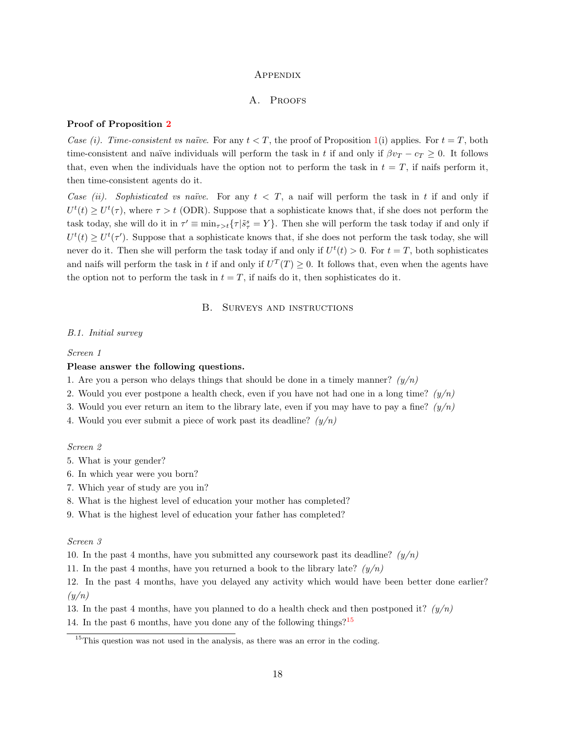#### **APPENDIX**

#### A. PROOFS

#### <span id="page-19-0"></span>Proof of Proposition [2](#page-5-0)

Case (i). Time-consistent vs naïve. For any  $t < T$ , the proof of Proposition [1\(](#page-5-1)i) applies. For  $t = T$ , both time-consistent and naïve individuals will perform the task in t if and only if  $\beta v_T - c_T \geq 0$ . It follows that, even when the individuals have the option not to perform the task in  $t = T$ , if naifs perform it, then time-consistent agents do it.

Case (ii). Sophisticated vs naïve. For any  $t < T$ , a naif will perform the task in t if and only if  $U^t(t) \geq U^t(\tau)$ , where  $\tau > t$  (ODR). Suppose that a sophisticate knows that, if she does not perform the task today, she will do it in  $\tau' \equiv \min_{\tau>t} {\{\tau | \tilde{s}^s_\tau = Y\}}$ . Then she will perform the task today if and only if  $U^t(t) \geq U^t(\tau')$ . Suppose that a sophisticate knows that, if she does not perform the task today, she will never do it. Then she will perform the task today if and only if  $U^t(t) > 0$ . For  $t = T$ , both sophisticates and naifs will perform the task in t if and only if  $U^T(T) \geq 0$ . It follows that, even when the agents have the option not to perform the task in  $t = T$ , if naifs do it, then sophisticates do it.

#### B. Surveys and instructions

#### <span id="page-19-1"></span>B.1. Initial survey

#### Screen 1

# Please answer the following questions.

- 1. Are you a person who delays things that should be done in a timely manner?  $(y/n)$
- 2. Would you ever postpone a health check, even if you have not had one in a long time?  $(y/n)$
- 3. Would you ever return an item to the library late, even if you may have to pay a fine?  $(y/n)$
- 4. Would you ever submit a piece of work past its deadline?  $(y/n)$

#### Screen 2

- 5. What is your gender?
- 6. In which year were you born?
- 7. Which year of study are you in?
- 8. What is the highest level of education your mother has completed?
- 9. What is the highest level of education your father has completed?

#### Screen 3

10. In the past 4 months, have you submitted any coursework past its deadline?  $(y/n)$ 

11. In the past 4 months, have you returned a book to the library late?  $(y/n)$ 

12. In the past 4 months, have you delayed any activity which would have been better done earlier?  $(y/n)$ 

13. In the past 4 months, have you planned to do a health check and then postponed it?  $(y/n)$ 

14. In the past 6 months, have you done any of the following things?[15](#page-2-0)

 $15$ This question was not used in the analysis, as there was an error in the coding.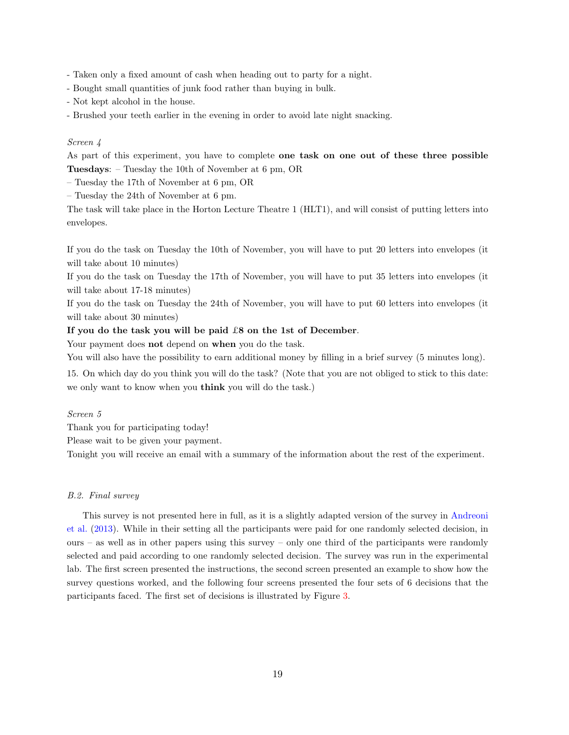- Taken only a fixed amount of cash when heading out to party for a night.
- Bought small quantities of junk food rather than buying in bulk.
- Not kept alcohol in the house.
- Brushed your teeth earlier in the evening in order to avoid late night snacking.

#### Screen 4

As part of this experiment, you have to complete one task on one out of these three possible Tuesdays: – Tuesday the 10th of November at 6 pm, OR

– Tuesday the 17th of November at 6 pm, OR

– Tuesday the 24th of November at 6 pm.

The task will take place in the Horton Lecture Theatre 1 (HLT1), and will consist of putting letters into envelopes.

If you do the task on Tuesday the 10th of November, you will have to put 20 letters into envelopes (it will take about 10 minutes)

If you do the task on Tuesday the 17th of November, you will have to put 35 letters into envelopes (it will take about 17-18 minutes)

If you do the task on Tuesday the 24th of November, you will have to put 60 letters into envelopes (it will take about 30 minutes)

#### If you do the task you will be paid £8 on the 1st of December.

Your payment does **not** depend on when you do the task.

You will also have the possibility to earn additional money by filling in a brief survey (5 minutes long).

15. On which day do you think you will do the task? (Note that you are not obliged to stick to this date: we only want to know when you think you will do the task.)

#### Screen 5

Thank you for participating today!

Please wait to be given your payment.

Tonight you will receive an email with a summary of the information about the rest of the experiment.

#### B.2. Final survey

<span id="page-20-0"></span>This survey is not presented here in full, as it is a slightly adapted version of the survey in [Andreoni](#page-18-4) [et al.](#page-18-4) [\(2013\)](#page-18-4). While in their setting all the participants were paid for one randomly selected decision, in  $ours - as$  well as in other papers using this survey – only one third of the participants were randomly selected and paid according to one randomly selected decision. The survey was run in the experimental lab. The first screen presented the instructions, the second screen presented an example to show how the survey questions worked, and the following four screens presented the four sets of 6 decisions that the participants faced. The first set of decisions is illustrated by Figure [3.](#page-21-0)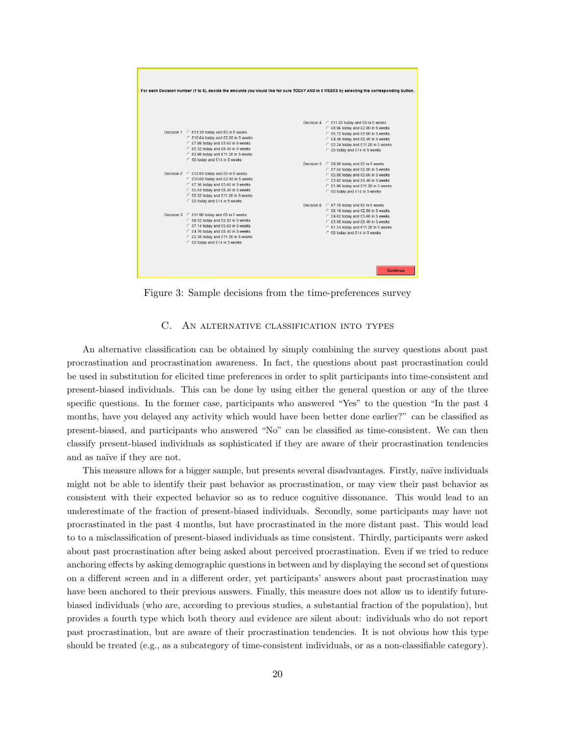<span id="page-21-0"></span>

Figure 3: Sample decisions from the time-preferences survey

#### C. An alternative classification into types

An alternative classification can be obtained by simply combining the survey questions about past procrastination and procrastination awareness. In fact, the questions about past procrastination could be used in substitution for elicited time preferences in order to split participants into time-consistent and present-biased individuals. This can be done by using either the general question or any of the three specific questions. In the former case, participants who answered "Yes" to the question "In the past 4 months, have you delayed any activity which would have been better done earlier?" can be classified as present-biased, and participants who answered "No" can be classified as time-consistent. We can then classify present-biased individuals as sophisticated if they are aware of their procrastination tendencies and as naïve if they are not.

This measure allows for a bigger sample, but presents several disadvantages. Firstly, naïve individuals might not be able to identify their past behavior as procrastination, or may view their past behavior as consistent with their expected behavior so as to reduce cognitive dissonance. This would lead to an underestimate of the fraction of present-biased individuals. Secondly, some participants may have not procrastinated in the past 4 months, but have procrastinated in the more distant past. This would lead to to a misclassification of present-biased individuals as time consistent. Thirdly, participants were asked about past procrastination after being asked about perceived procrastination. Even if we tried to reduce anchoring effects by asking demographic questions in between and by displaying the second set of questions on a different screen and in a different order, yet participants' answers about past procrastination may have been anchored to their previous answers. Finally, this measure does not allow us to identify futurebiased individuals (who are, according to previous studies, a substantial fraction of the population), but provides a fourth type which both theory and evidence are silent about: individuals who do not report past procrastination, but are aware of their procrastination tendencies. It is not obvious how this type should be treated (e.g., as a subcategory of time-consistent individuals, or as a non-classifiable category).